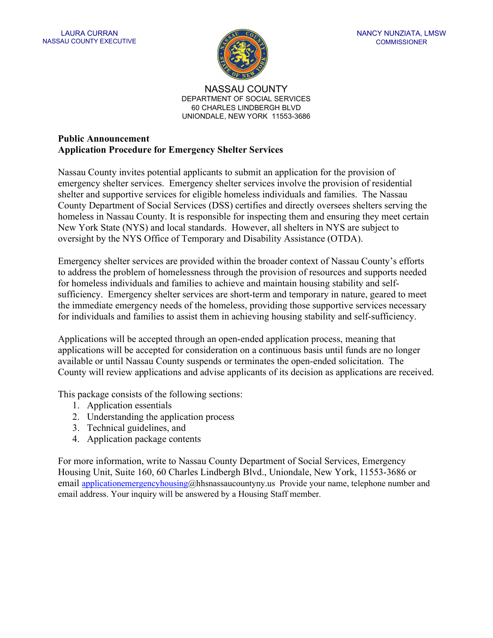

NASSAU COUNTY DEPARTMENT OF SOCIAL SERVICES 60 CHARLES LINDBERGH BLVD UNIONDALE, NEW YORK 11553-3686

#### Public Announcement Application Procedure for Emergency Shelter Services

Nassau County invites potential applicants to submit an application for the provision of emergency shelter services. Emergency shelter services involve the provision of residential shelter and supportive services for eligible homeless individuals and families. The Nassau County Department of Social Services (DSS) certifies and directly oversees shelters serving the homeless in Nassau County. It is responsible for inspecting them and ensuring they meet certain New York State (NYS) and local standards. However, all shelters in NYS are subject to oversight by the NYS Office of Temporary and Disability Assistance (OTDA).

Emergency shelter services are provided within the broader context of Nassau County's efforts to address the problem of homelessness through the provision of resources and supports needed for homeless individuals and families to achieve and maintain housing stability and selfsufficiency. Emergency shelter services are short-term and temporary in nature, geared to meet the immediate emergency needs of the homeless, providing those supportive services necessary for individuals and families to assist them in achieving housing stability and self-sufficiency.

Applications will be accepted through an open-ended application process, meaning that applications will be accepted for consideration on a continuous basis until funds are no longer available or until Nassau County suspends or terminates the open-ended solicitation. The County will review applications and advise applicants of its decision as applications are received.

This package consists of the following sections:

- 1. Application essentials
- 2. Understanding the application process
- 3. Technical guidelines, and
- 4. Application package contents

For more information, write to Nassau County Department of Social Services, Emergency Housing Unit, Suite 160, 60 Charles Lindbergh Blvd., Uniondale, New York, 11553-3686 or email applicationemergencyhousing@hhsnassaucountyny.us Provide your name, telephone number and email address. Your inquiry will be answered by a Housing Staff member.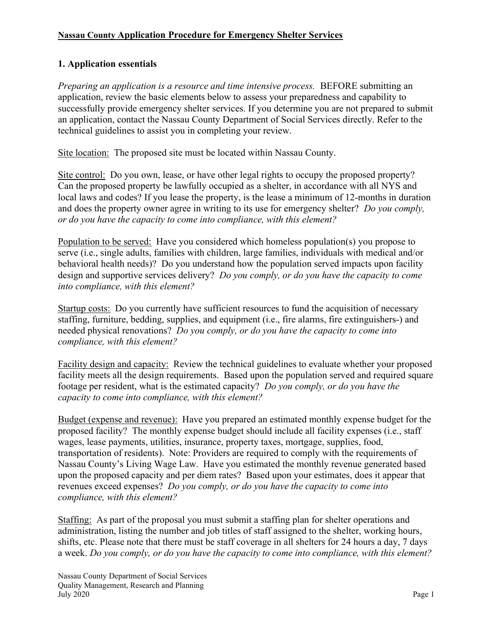# 1. Application essentials

Preparing an application is a resource and time intensive process. BEFORE submitting an application, review the basic elements below to assess your preparedness and capability to successfully provide emergency shelter services. If you determine you are not prepared to submit an application, contact the Nassau County Department of Social Services directly. Refer to the technical guidelines to assist you in completing your review.

Site location: The proposed site must be located within Nassau County.

Site control: Do you own, lease, or have other legal rights to occupy the proposed property? Can the proposed property be lawfully occupied as a shelter, in accordance with all NYS and local laws and codes? If you lease the property, is the lease a minimum of 12-months in duration and does the property owner agree in writing to its use for emergency shelter? Do you comply, or do you have the capacity to come into compliance, with this element?

Population to be served: Have you considered which homeless population(s) you propose to serve (i.e., single adults, families with children, large families, individuals with medical and/or behavioral health needs)? Do you understand how the population served impacts upon facility design and supportive services delivery? Do you comply, or do you have the capacity to come into compliance, with this element?

Startup costs: Do you currently have sufficient resources to fund the acquisition of necessary staffing, furniture, bedding, supplies, and equipment (i.e., fire alarms, fire extinguishers-) and needed physical renovations? Do you comply, or do you have the capacity to come into compliance, with this element?

Facility design and capacity: Review the technical guidelines to evaluate whether your proposed facility meets all the design requirements. Based upon the population served and required square footage per resident, what is the estimated capacity? Do you comply, or do you have the capacity to come into compliance, with this element?

Budget (expense and revenue): Have you prepared an estimated monthly expense budget for the proposed facility? The monthly expense budget should include all facility expenses (i.e., staff wages, lease payments, utilities, insurance, property taxes, mortgage, supplies, food, transportation of residents). Note: Providers are required to comply with the requirements of Nassau County's Living Wage Law. Have you estimated the monthly revenue generated based upon the proposed capacity and per diem rates? Based upon your estimates, does it appear that revenues exceed expenses? Do you comply, or do you have the capacity to come into compliance, with this element?

Staffing: As part of the proposal you must submit a staffing plan for shelter operations and administration, listing the number and job titles of staff assigned to the shelter, working hours, shifts, etc. Please note that there must be staff coverage in all shelters for 24 hours a day, 7 days a week. Do you comply, or do you have the capacity to come into compliance, with this element?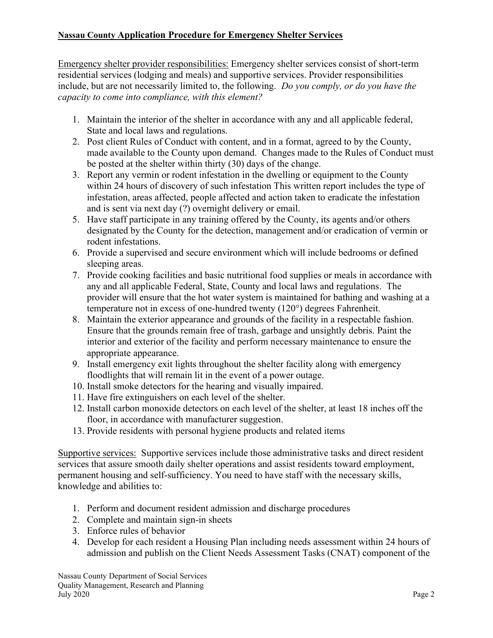Emergency shelter provider responsibilities: Emergency shelter services consist of short-term residential services (lodging and meals) and supportive services. Provider responsibilities include, but are not necessarily limited to, the following. Do you comply, or do you have the capacity to come into compliance, with this element?

- 1. Maintain the interior of the shelter in accordance with any and all applicable federal, State and local laws and regulations.
- 2. Post client Rules of Conduct with content, and in a format, agreed to by the County, made available to the County upon demand. Changes made to the Rules of Conduct must be posted at the shelter within thirty (30) days of the change.
- 3. Report any vermin or rodent infestation in the dwelling or equipment to the County within 24 hours of discovery of such infestation This written report includes the type of infestation, areas affected, people affected and action taken to eradicate the infestation and is sent via next day (?) overnight delivery or email.
- 5. Have staff participate in any training offered by the County, its agents and/or others designated by the County for the detection, management and/or eradication of vermin or rodent infestations.
- 6. Provide a supervised and secure environment which will include bedrooms or defined sleeping areas.
- 7. Provide cooking facilities and basic nutritional food supplies or meals in accordance with any and all applicable Federal, State, County and local laws and regulations. The provider will ensure that the hot water system is maintained for bathing and washing at a temperature not in excess of one-hundred twenty (120°) degrees Fahrenheit.
- 8. Maintain the exterior appearance and grounds of the facility in a respectable fashion. Ensure that the grounds remain free of trash, garbage and unsightly debris. Paint the interior and exterior of the facility and perform necessary maintenance to ensure the appropriate appearance.
- 9. Install emergency exit lights throughout the shelter facility along with emergency floodlights that will remain lit in the event of a power outage.
- 10. Install smoke detectors for the hearing and visually impaired.
- 11. Have fire extinguishers on each level of the shelter.
- 12. Install carbon monoxide detectors on each level of the shelter, at least 18 inches off the floor, in accordance with manufacturer suggestion.
- 13. Provide residents with personal hygiene products and related items

Supportive services: Supportive services include those administrative tasks and direct resident services that assure smooth daily shelter operations and assist residents toward employment, permanent housing and self-sufficiency. You need to have staff with the necessary skills, knowledge and abilities to:

- 1. Perform and document resident admission and discharge procedures
- 2. Complete and maintain sign-in sheets
- 3. Enforce rules of behavior
- 4. Develop for each resident a Housing Plan including needs assessment within 24 hours of admission and publish on the Client Needs Assessment Tasks (CNAT) component of the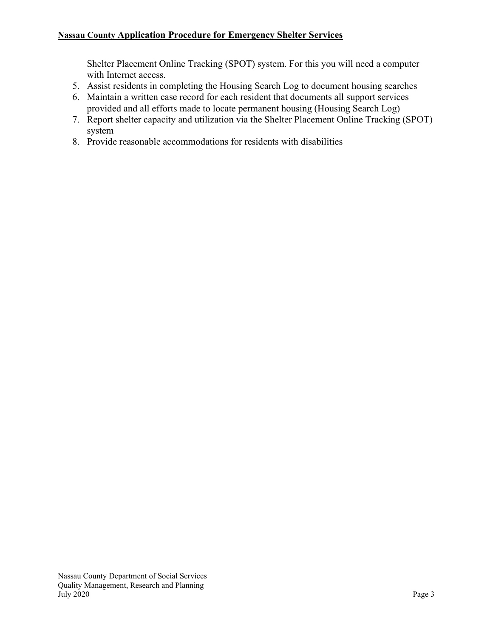Shelter Placement Online Tracking (SPOT) system. For this you will need a computer with Internet access.

- 5. Assist residents in completing the Housing Search Log to document housing searches
- 6. Maintain a written case record for each resident that documents all support services provided and all efforts made to locate permanent housing (Housing Search Log)
- 7. Report shelter capacity and utilization via the Shelter Placement Online Tracking (SPOT) system
- 8. Provide reasonable accommodations for residents with disabilities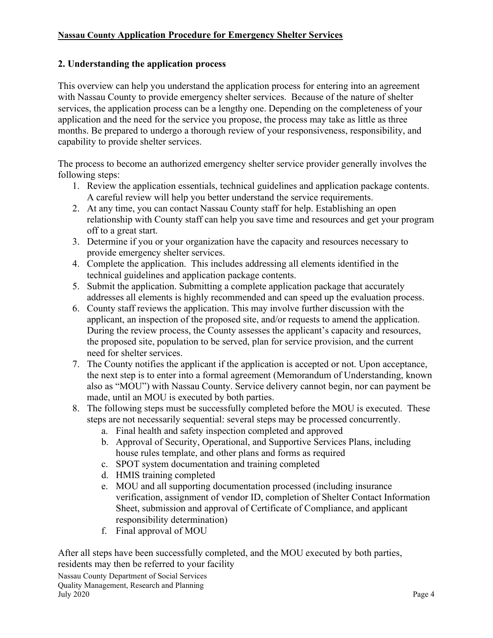## 2. Understanding the application process

This overview can help you understand the application process for entering into an agreement with Nassau County to provide emergency shelter services. Because of the nature of shelter services, the application process can be a lengthy one. Depending on the completeness of your application and the need for the service you propose, the process may take as little as three months. Be prepared to undergo a thorough review of your responsiveness, responsibility, and capability to provide shelter services.

The process to become an authorized emergency shelter service provider generally involves the following steps:

- 1. Review the application essentials, technical guidelines and application package contents. A careful review will help you better understand the service requirements.
- 2. At any time, you can contact Nassau County staff for help. Establishing an open relationship with County staff can help you save time and resources and get your program off to a great start.
- 3. Determine if you or your organization have the capacity and resources necessary to provide emergency shelter services.
- 4. Complete the application. This includes addressing all elements identified in the technical guidelines and application package contents.
- 5. Submit the application. Submitting a complete application package that accurately addresses all elements is highly recommended and can speed up the evaluation process.
- 6. County staff reviews the application. This may involve further discussion with the applicant, an inspection of the proposed site, and/or requests to amend the application. During the review process, the County assesses the applicant's capacity and resources, the proposed site, population to be served, plan for service provision, and the current need for shelter services.
- 7. The County notifies the applicant if the application is accepted or not. Upon acceptance, the next step is to enter into a formal agreement (Memorandum of Understanding, known also as "MOU") with Nassau County. Service delivery cannot begin, nor can payment be made, until an MOU is executed by both parties.
- 8. The following steps must be successfully completed before the MOU is executed. These steps are not necessarily sequential: several steps may be processed concurrently.
	- a. Final health and safety inspection completed and approved
	- b. Approval of Security, Operational, and Supportive Services Plans, including house rules template, and other plans and forms as required
	- c. SPOT system documentation and training completed
	- d. HMIS training completed
	- e. MOU and all supporting documentation processed (including insurance verification, assignment of vendor ID, completion of Shelter Contact Information Sheet, submission and approval of Certificate of Compliance, and applicant responsibility determination)
	- f. Final approval of MOU

After all steps have been successfully completed, and the MOU executed by both parties, residents may then be referred to your facility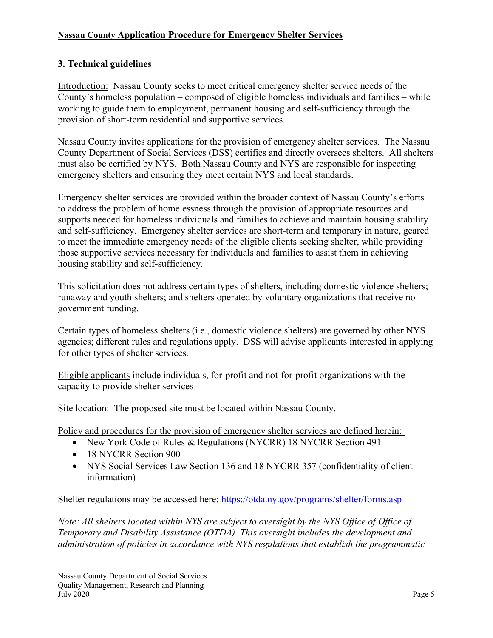# 3. Technical guidelines

Introduction: Nassau County seeks to meet critical emergency shelter service needs of the County's homeless population – composed of eligible homeless individuals and families – while working to guide them to employment, permanent housing and self-sufficiency through the provision of short-term residential and supportive services.

Nassau County invites applications for the provision of emergency shelter services. The Nassau County Department of Social Services (DSS) certifies and directly oversees shelters. All shelters must also be certified by NYS. Both Nassau County and NYS are responsible for inspecting emergency shelters and ensuring they meet certain NYS and local standards.

Emergency shelter services are provided within the broader context of Nassau County's efforts to address the problem of homelessness through the provision of appropriate resources and supports needed for homeless individuals and families to achieve and maintain housing stability and self-sufficiency. Emergency shelter services are short-term and temporary in nature, geared to meet the immediate emergency needs of the eligible clients seeking shelter, while providing those supportive services necessary for individuals and families to assist them in achieving housing stability and self-sufficiency.

This solicitation does not address certain types of shelters, including domestic violence shelters; runaway and youth shelters; and shelters operated by voluntary organizations that receive no government funding.

Certain types of homeless shelters (i.e., domestic violence shelters) are governed by other NYS agencies; different rules and regulations apply. DSS will advise applicants interested in applying for other types of shelter services.

Eligible applicants include individuals, for-profit and not-for-profit organizations with the capacity to provide shelter services

Site location: The proposed site must be located within Nassau County.

Policy and procedures for the provision of emergency shelter services are defined herein:

- New York Code of Rules & Regulations (NYCRR) 18 NYCRR Section 491
- 18 NYCRR Section 900
- NYS Social Services Law Section 136 and 18 NYCRR 357 (confidentiality of client information)

Shelter regulations may be accessed here: https://otda.ny.gov/programs/shelter/forms.asp

Note: All shelters located within NYS are subject to oversight by the NYS Office of Office of Temporary and Disability Assistance (OTDA). This oversight includes the development and administration of policies in accordance with NYS regulations that establish the programmatic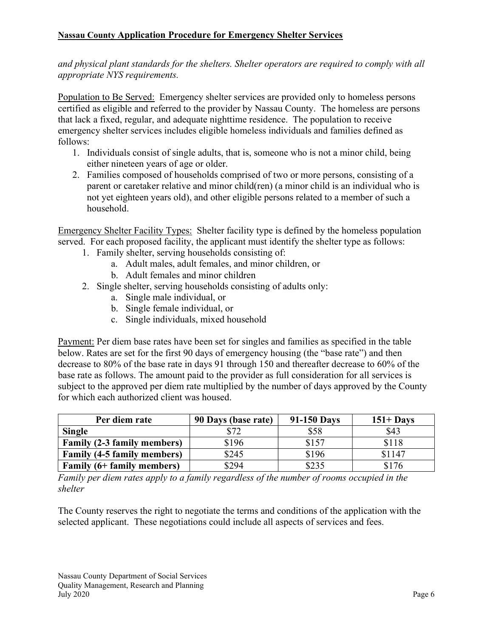and physical plant standards for the shelters. Shelter operators are required to comply with all appropriate NYS requirements.

Population to Be Served: Emergency shelter services are provided only to homeless persons certified as eligible and referred to the provider by Nassau County. The homeless are persons that lack a fixed, regular, and adequate nighttime residence. The population to receive emergency shelter services includes eligible homeless individuals and families defined as follows:

- 1. Individuals consist of single adults, that is, someone who is not a minor child, being either nineteen years of age or older.
- 2. Families composed of households comprised of two or more persons, consisting of a parent or caretaker relative and minor child(ren) (a minor child is an individual who is not yet eighteen years old), and other eligible persons related to a member of such a household.

Emergency Shelter Facility Types: Shelter facility type is defined by the homeless population served. For each proposed facility, the applicant must identify the shelter type as follows:

- 1. Family shelter, serving households consisting of:
	- a. Adult males, adult females, and minor children, or
	- b. Adult females and minor children
- 2. Single shelter, serving households consisting of adults only:
	- a. Single male individual, or
	- b. Single female individual, or
	- c. Single individuals, mixed household

Payment: Per diem base rates have been set for singles and families as specified in the table below. Rates are set for the first 90 days of emergency housing (the "base rate") and then decrease to 80% of the base rate in days 91 through 150 and thereafter decrease to 60% of the base rate as follows. The amount paid to the provider as full consideration for all services is subject to the approved per diem rate multiplied by the number of days approved by the County for which each authorized client was housed.

| Per diem rate                      | 90 Days (base rate) | 91-150 Days | $151 +$ Days |
|------------------------------------|---------------------|-------------|--------------|
| <b>Single</b>                      | \$72                | \$58        | \$43         |
| <b>Family (2-3 family members)</b> | \$196               | \$157       | \$118        |
| <b>Family (4-5 family members)</b> | \$245               | \$196       | \$1147       |
| Family (6+ family members)         | \$294               | \$235       | \$176        |

Family per diem rates apply to a family regardless of the number of rooms occupied in the shelter

The County reserves the right to negotiate the terms and conditions of the application with the selected applicant. These negotiations could include all aspects of services and fees.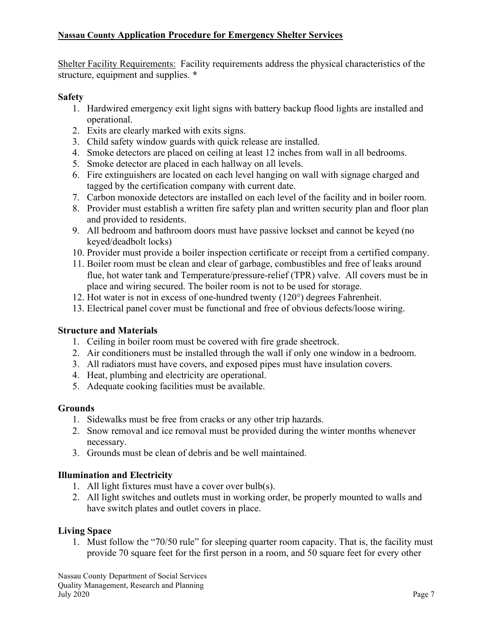Shelter Facility Requirements: Facility requirements address the physical characteristics of the structure, equipment and supplies. \*

## Safety

- 1. Hardwired emergency exit light signs with battery backup flood lights are installed and operational.
- 2. Exits are clearly marked with exits signs.
- 3. Child safety window guards with quick release are installed.
- 4. Smoke detectors are placed on ceiling at least 12 inches from wall in all bedrooms.
- 5. Smoke detector are placed in each hallway on all levels.
- 6. Fire extinguishers are located on each level hanging on wall with signage charged and tagged by the certification company with current date.
- 7. Carbon monoxide detectors are installed on each level of the facility and in boiler room.
- 8. Provider must establish a written fire safety plan and written security plan and floor plan and provided to residents.
- 9. All bedroom and bathroom doors must have passive lockset and cannot be keyed (no keyed/deadbolt locks)
- 10. Provider must provide a boiler inspection certificate or receipt from a certified company.
- 11. Boiler room must be clean and clear of garbage, combustibles and free of leaks around flue, hot water tank and Temperature/pressure-relief (TPR) valve. All covers must be in place and wiring secured. The boiler room is not to be used for storage.
- 12. Hot water is not in excess of one-hundred twenty (120°) degrees Fahrenheit.
- 13. Electrical panel cover must be functional and free of obvious defects/loose wiring.

# Structure and Materials

- 1. Ceiling in boiler room must be covered with fire grade sheetrock.
- 2. Air conditioners must be installed through the wall if only one window in a bedroom.
- 3. All radiators must have covers, and exposed pipes must have insulation covers.
- 4. Heat, plumbing and electricity are operational.
- 5. Adequate cooking facilities must be available.

# **Grounds**

- 1. Sidewalks must be free from cracks or any other trip hazards.
- 2. Snow removal and ice removal must be provided during the winter months whenever necessary.
- 3. Grounds must be clean of debris and be well maintained.

# Illumination and Electricity

- 1. All light fixtures must have a cover over bulb(s).
- 2. All light switches and outlets must in working order, be properly mounted to walls and have switch plates and outlet covers in place.

## Living Space

1. Must follow the "70/50 rule" for sleeping quarter room capacity. That is, the facility must provide 70 square feet for the first person in a room, and 50 square feet for every other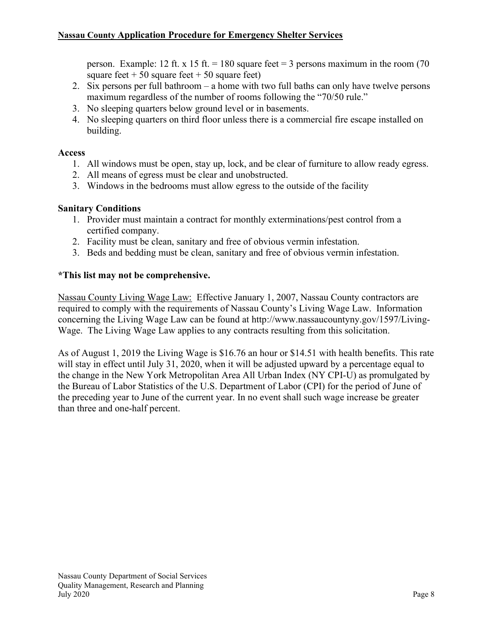person. Example: 12 ft. x 15 ft. = 180 square feet = 3 persons maximum in the room (70 square feet  $+ 50$  square feet  $+ 50$  square feet)

- 2. Six persons per full bathroom a home with two full baths can only have twelve persons maximum regardless of the number of rooms following the "70/50 rule."
- 3. No sleeping quarters below ground level or in basements.
- 4. No sleeping quarters on third floor unless there is a commercial fire escape installed on building.

#### Access

- 1. All windows must be open, stay up, lock, and be clear of furniture to allow ready egress.
- 2. All means of egress must be clear and unobstructed.
- 3. Windows in the bedrooms must allow egress to the outside of the facility

#### Sanitary Conditions

- 1. Provider must maintain a contract for monthly exterminations/pest control from a certified company.
- 2. Facility must be clean, sanitary and free of obvious vermin infestation.
- 3. Beds and bedding must be clean, sanitary and free of obvious vermin infestation.

#### \*This list may not be comprehensive.

Nassau County Living Wage Law: Effective January 1, 2007, Nassau County contractors are required to comply with the requirements of Nassau County's Living Wage Law. Information concerning the Living Wage Law can be found at http://www.nassaucountyny.gov/1597/Living-Wage. The Living Wage Law applies to any contracts resulting from this solicitation.

As of August 1, 2019 the Living Wage is \$16.76 an hour or \$14.51 with health benefits. This rate will stay in effect until July 31, 2020, when it will be adjusted upward by a percentage equal to the change in the New York Metropolitan Area All Urban Index (NY CPI-U) as promulgated by the Bureau of Labor Statistics of the U.S. Department of Labor (CPI) for the period of June of the preceding year to June of the current year. In no event shall such wage increase be greater than three and one-half percent.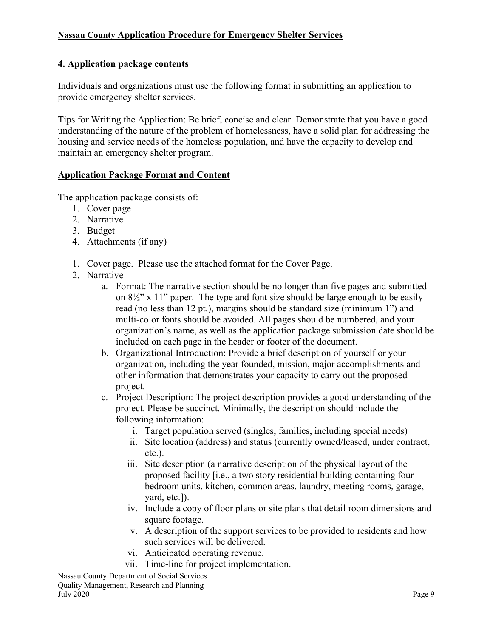### 4. Application package contents

Individuals and organizations must use the following format in submitting an application to provide emergency shelter services.

Tips for Writing the Application: Be brief, concise and clear. Demonstrate that you have a good understanding of the nature of the problem of homelessness, have a solid plan for addressing the housing and service needs of the homeless population, and have the capacity to develop and maintain an emergency shelter program.

#### Application Package Format and Content

The application package consists of:

- 1. Cover page
- 2. Narrative
- 3. Budget
- 4. Attachments (if any)
- 1. Cover page. Please use the attached format for the Cover Page.
- 2. Narrative
	- a. Format: The narrative section should be no longer than five pages and submitted on 8½" x 11" paper. The type and font size should be large enough to be easily read (no less than 12 pt.), margins should be standard size (minimum 1") and multi-color fonts should be avoided. All pages should be numbered, and your organization's name, as well as the application package submission date should be included on each page in the header or footer of the document.
	- b. Organizational Introduction: Provide a brief description of yourself or your organization, including the year founded, mission, major accomplishments and other information that demonstrates your capacity to carry out the proposed project.
	- c. Project Description: The project description provides a good understanding of the project. Please be succinct. Minimally, the description should include the following information:
		- i. Target population served (singles, families, including special needs)
		- ii. Site location (address) and status (currently owned/leased, under contract, etc.).
		- iii. Site description (a narrative description of the physical layout of the proposed facility [i.e., a two story residential building containing four bedroom units, kitchen, common areas, laundry, meeting rooms, garage, yard, etc.]).
		- iv. Include a copy of floor plans or site plans that detail room dimensions and square footage.
		- v. A description of the support services to be provided to residents and how such services will be delivered.
		- vi. Anticipated operating revenue.
		- vii. Time-line for project implementation.